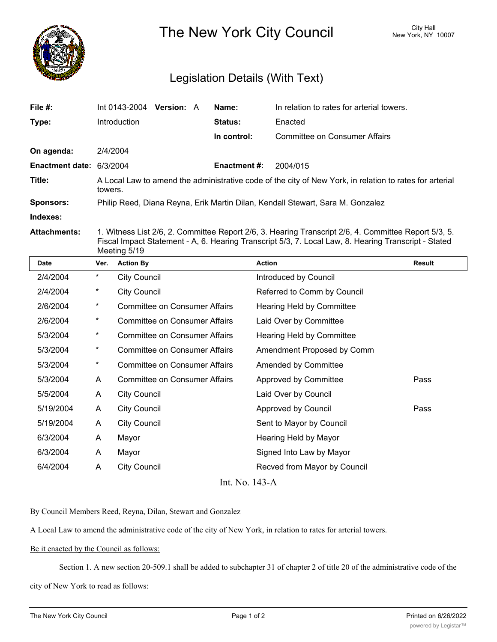

The New York City Council New York, NY 10007

## Legislation Details (With Text)

| File #:                  | Int 0143-2004 Version: A                                                                                           |  | Name:               | In relation to rates for arterial towers. |  |  |
|--------------------------|--------------------------------------------------------------------------------------------------------------------|--|---------------------|-------------------------------------------|--|--|
| Type:                    | Introduction                                                                                                       |  | <b>Status:</b>      | Enacted                                   |  |  |
|                          |                                                                                                                    |  | In control:         | <b>Committee on Consumer Affairs</b>      |  |  |
| On agenda:               | 2/4/2004                                                                                                           |  |                     |                                           |  |  |
| Enactment date: 6/3/2004 |                                                                                                                    |  | <b>Enactment #:</b> | 2004/015                                  |  |  |
| Title:                   | A Local Law to amend the administrative code of the city of New York, in relation to rates for arterial<br>towers. |  |                     |                                           |  |  |
| <b>Sponsors:</b>         | Philip Reed, Diana Reyna, Erik Martin Dilan, Kendall Stewart, Sara M. Gonzalez                                     |  |                     |                                           |  |  |
| Indexes:                 |                                                                                                                    |  |                     |                                           |  |  |
|                          |                                                                                                                    |  |                     |                                           |  |  |

**Attachments:** 1. Witness List 2/6, 2. Committee Report 2/6, 3. Hearing Transcript 2/6, 4. Committee Report 5/3, 5. Fiscal Impact Statement - A, 6. Hearing Transcript 5/3, 7. Local Law, 8. Hearing Transcript - Stated Meeting 5/19

| <b>Date</b>    | Ver.     | <b>Action By</b>                     | <b>Action</b>                | Result |  |  |  |
|----------------|----------|--------------------------------------|------------------------------|--------|--|--|--|
| 2/4/2004       | $\star$  | <b>City Council</b>                  | Introduced by Council        |        |  |  |  |
| 2/4/2004       | $^\star$ | <b>City Council</b>                  | Referred to Comm by Council  |        |  |  |  |
| 2/6/2004       | $^\star$ | <b>Committee on Consumer Affairs</b> | Hearing Held by Committee    |        |  |  |  |
| 2/6/2004       | $\ast$   | <b>Committee on Consumer Affairs</b> | Laid Over by Committee       |        |  |  |  |
| 5/3/2004       | $^\star$ | <b>Committee on Consumer Affairs</b> | Hearing Held by Committee    |        |  |  |  |
| 5/3/2004       | $\star$  | <b>Committee on Consumer Affairs</b> | Amendment Proposed by Comm   |        |  |  |  |
| 5/3/2004       | $^\star$ | <b>Committee on Consumer Affairs</b> | Amended by Committee         |        |  |  |  |
| 5/3/2004       | A        | <b>Committee on Consumer Affairs</b> | Approved by Committee        | Pass   |  |  |  |
| 5/5/2004       | A        | City Council                         | Laid Over by Council         |        |  |  |  |
| 5/19/2004      | A        | <b>City Council</b>                  | Approved by Council          | Pass   |  |  |  |
| 5/19/2004      | A        | <b>City Council</b>                  | Sent to Mayor by Council     |        |  |  |  |
| 6/3/2004       | A        | Mayor                                | Hearing Held by Mayor        |        |  |  |  |
| 6/3/2004       | A        | Mayor                                | Signed Into Law by Mayor     |        |  |  |  |
| 6/4/2004       | A        | <b>City Council</b>                  | Recved from Mayor by Council |        |  |  |  |
| Int. No. 143-A |          |                                      |                              |        |  |  |  |

By Council Members Reed, Reyna, Dilan, Stewart and Gonzalez

A Local Law to amend the administrative code of the city of New York, in relation to rates for arterial towers.

## Be it enacted by the Council as follows:

Section 1. A new section 20-509.1 shall be added to subchapter 31 of chapter 2 of title 20 of the administrative code of the city of New York to read as follows: